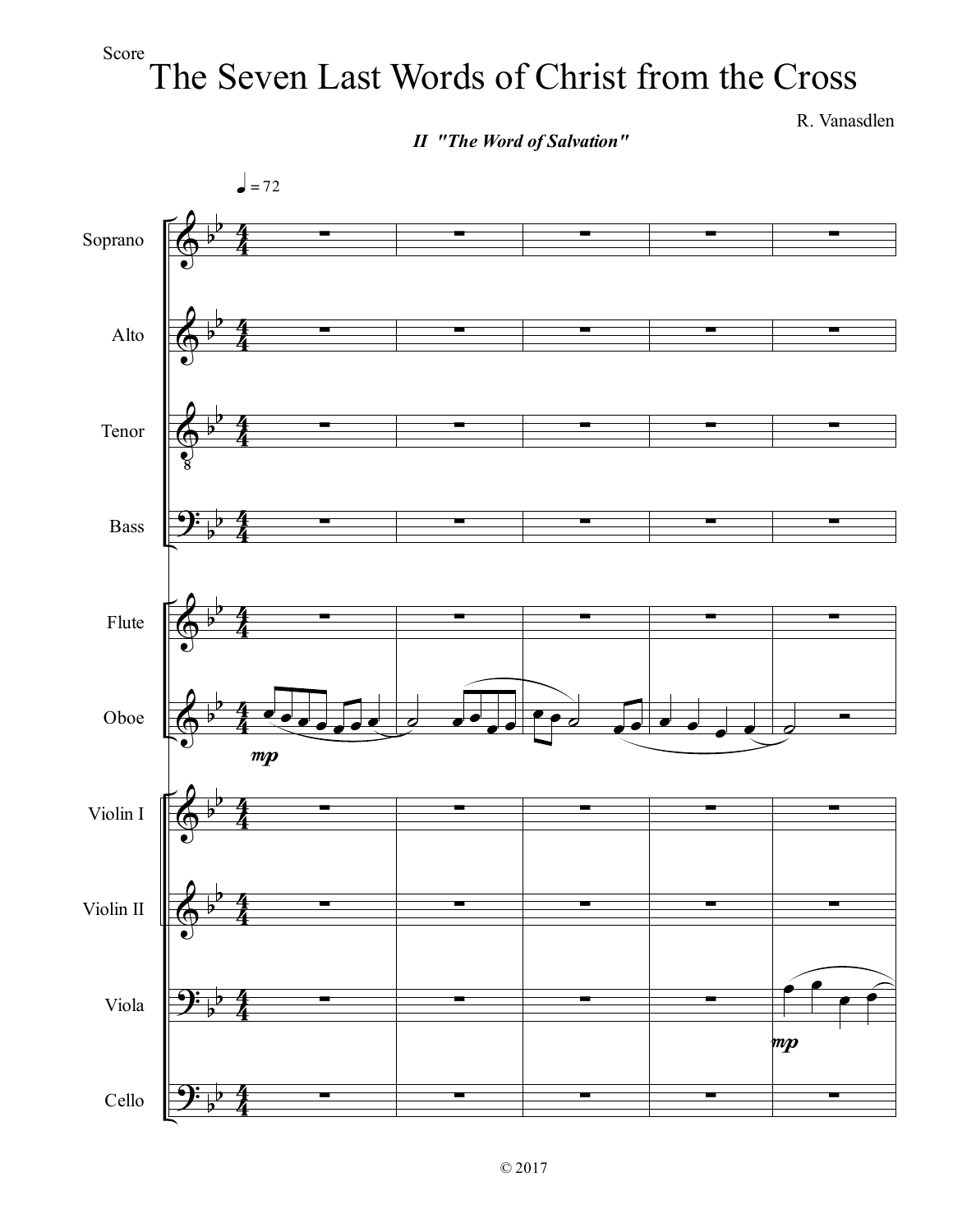## The Seven Last Words of Christ from the Cross

*II "The Word of Salvation"*

R. Vanasdlen

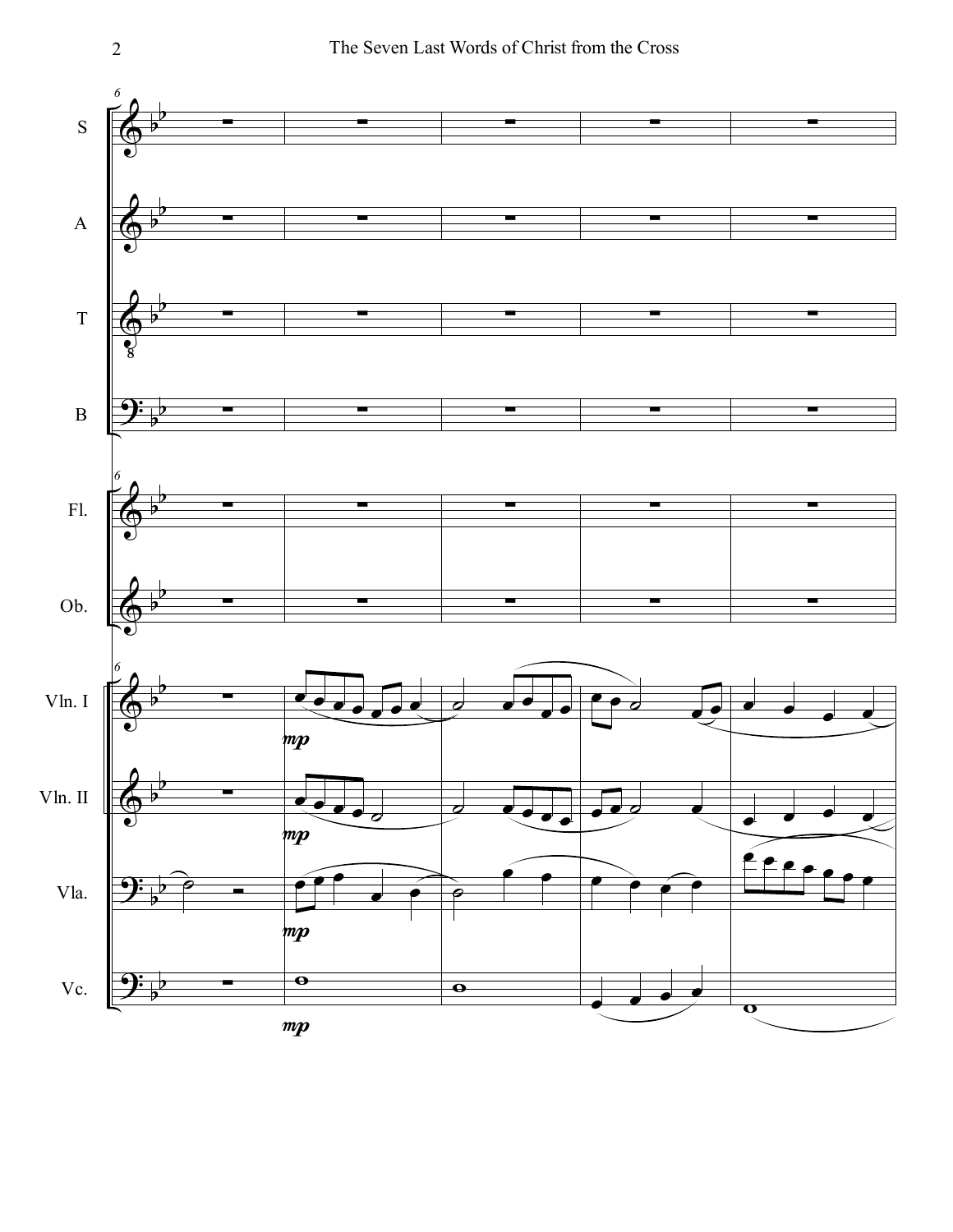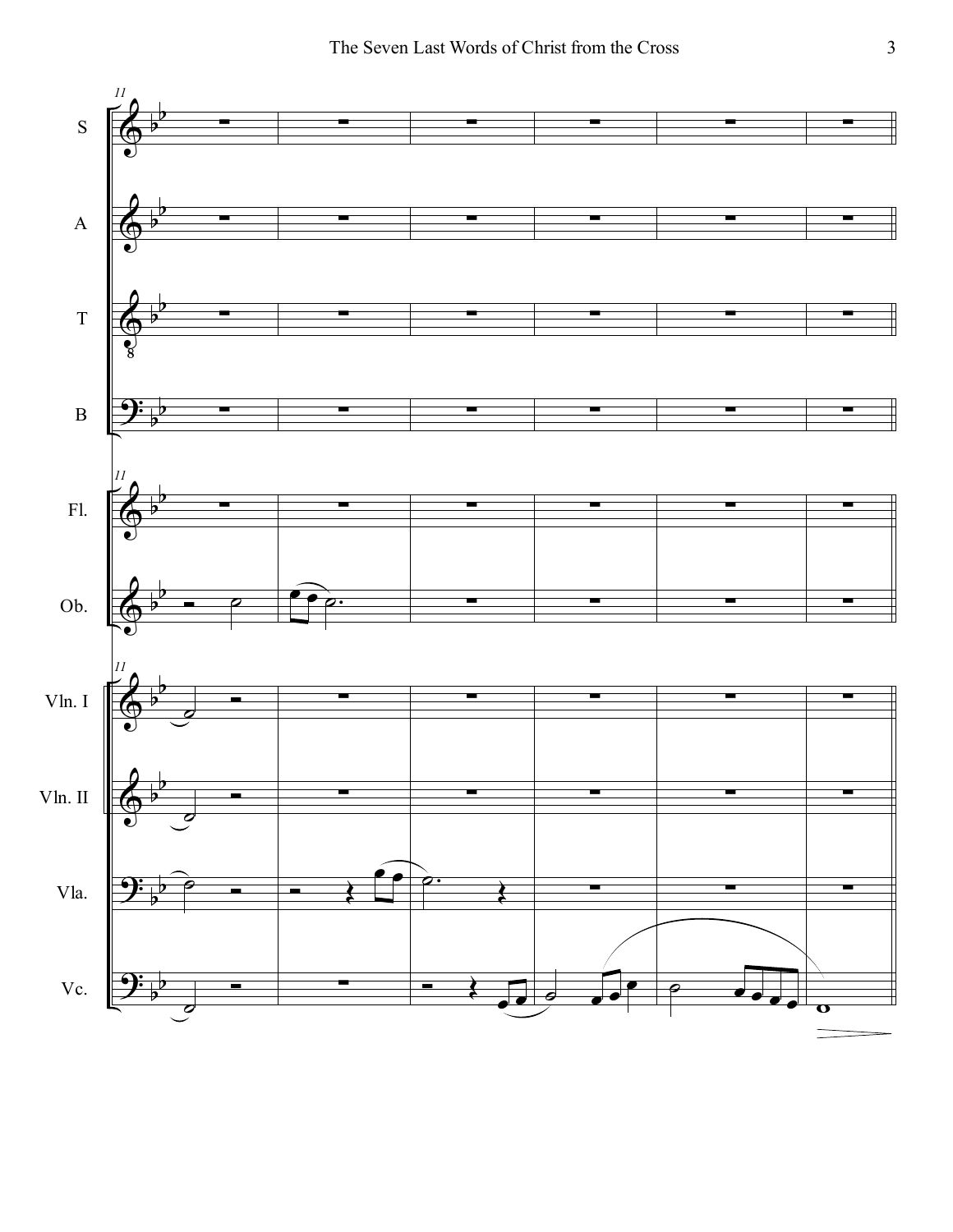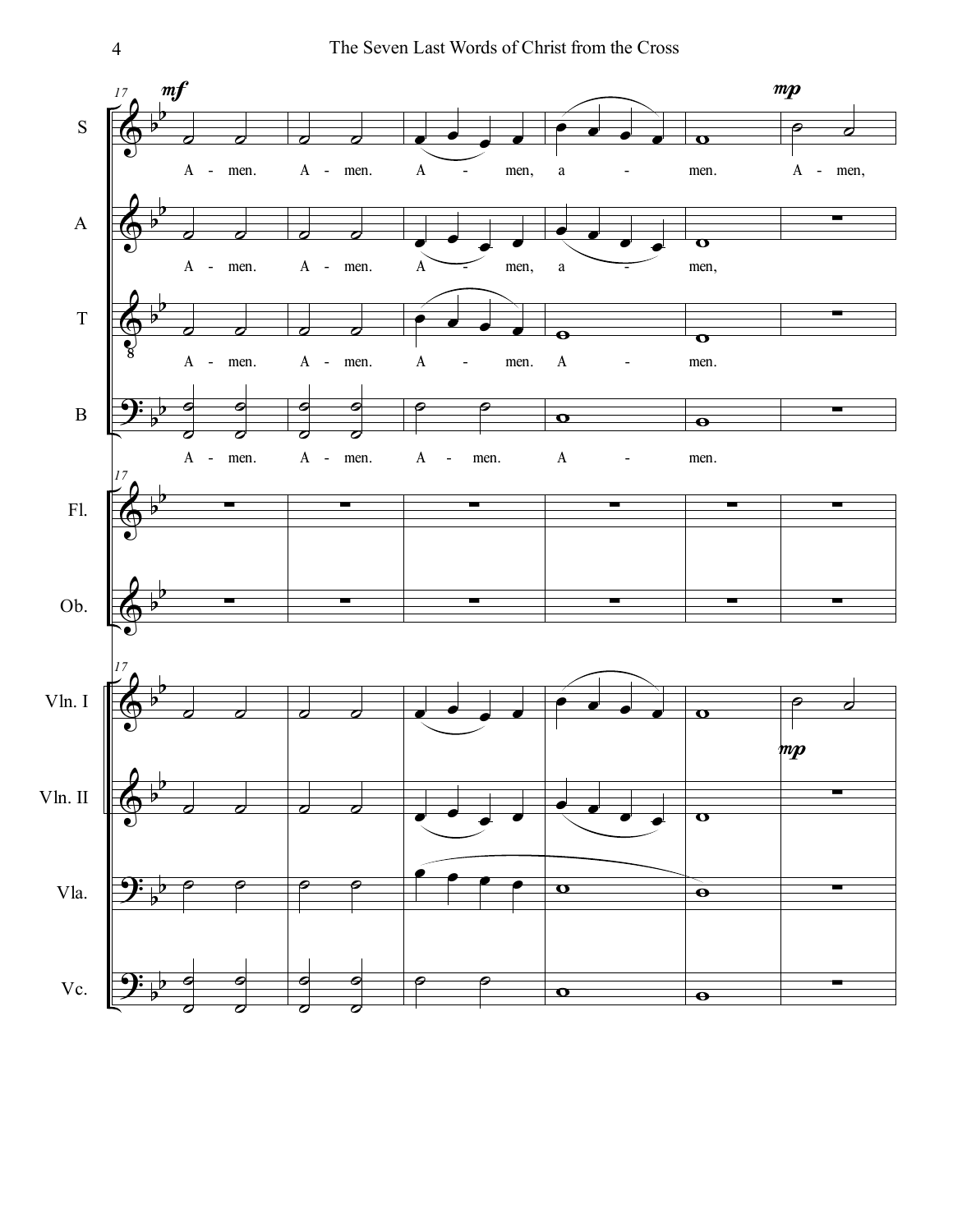

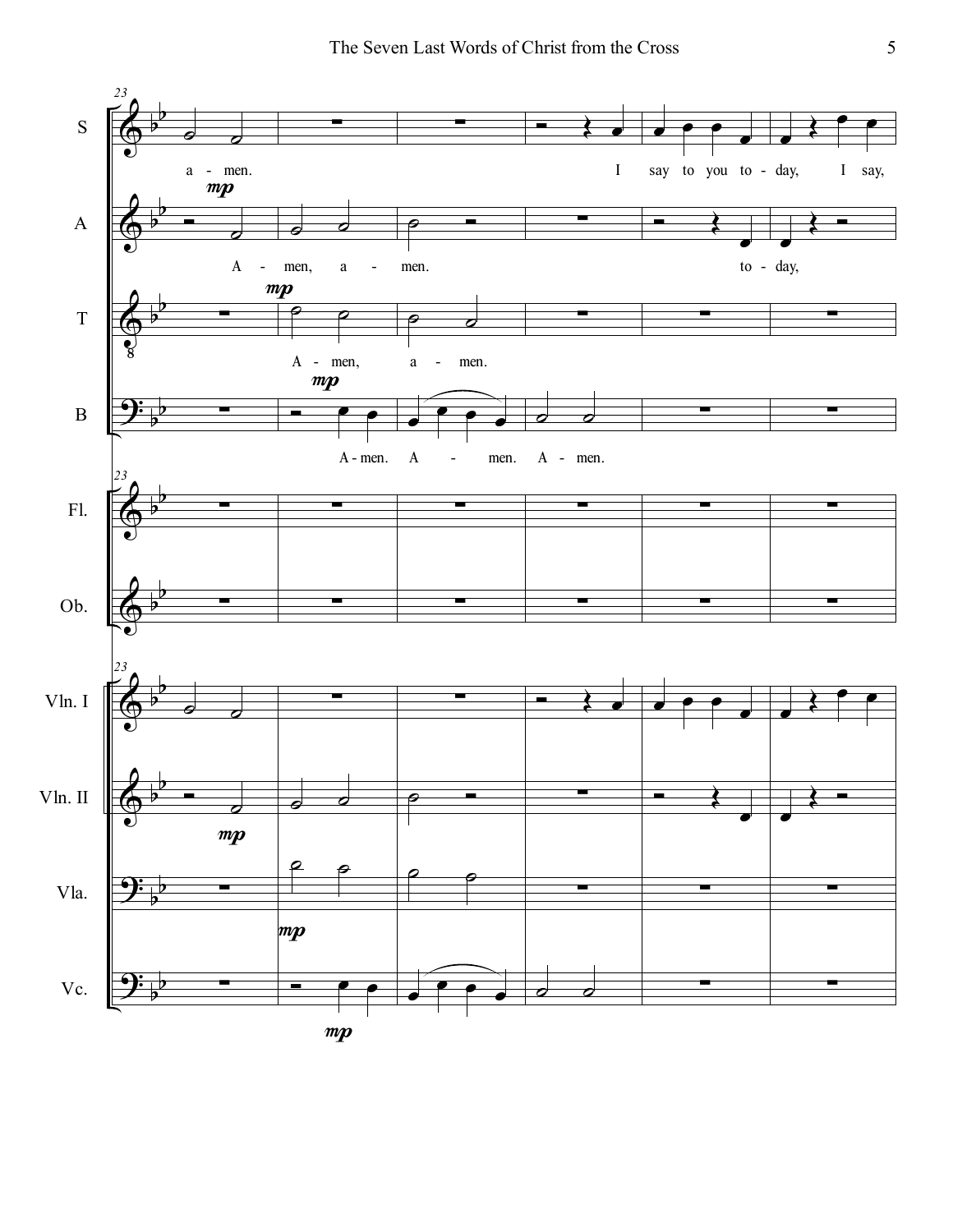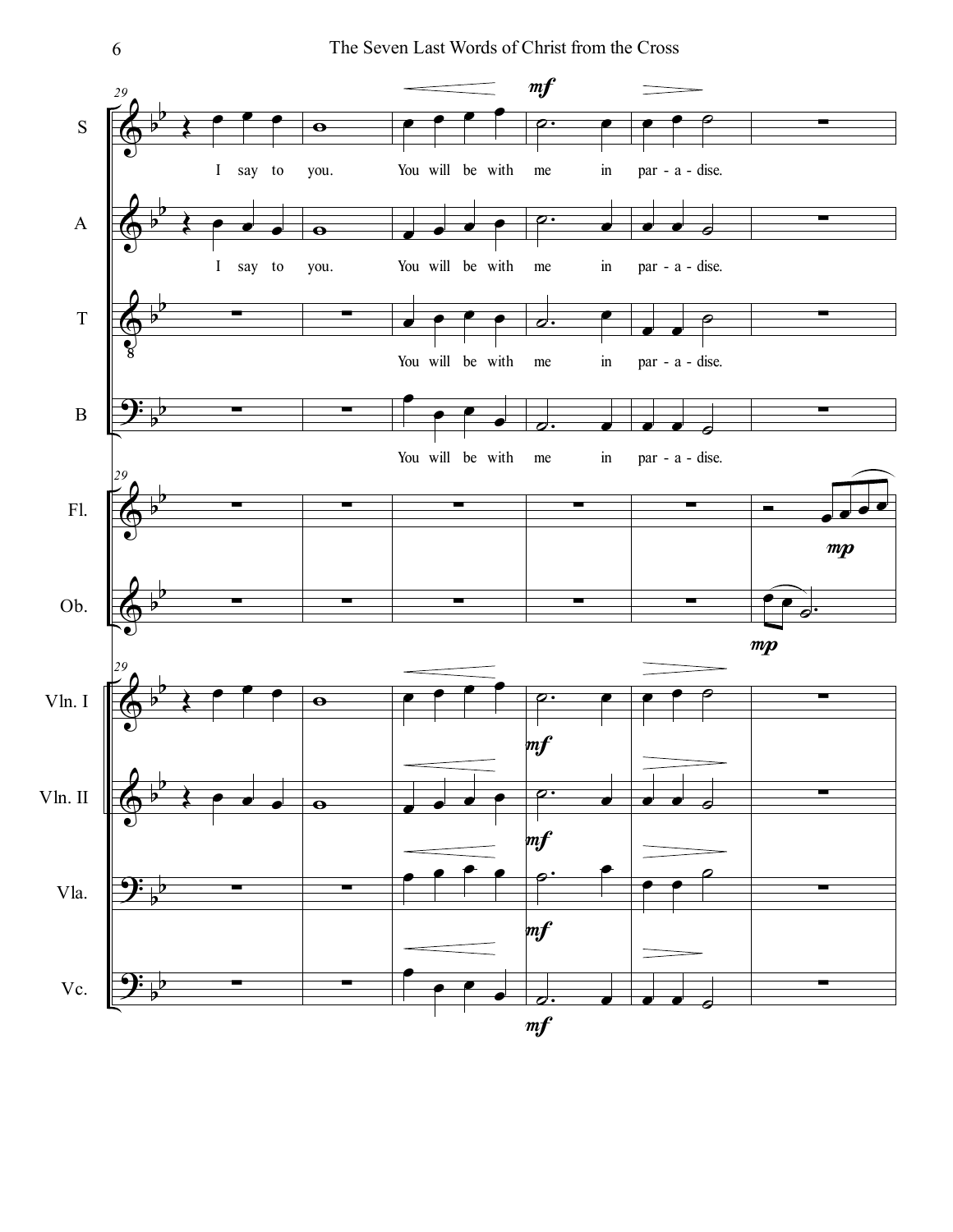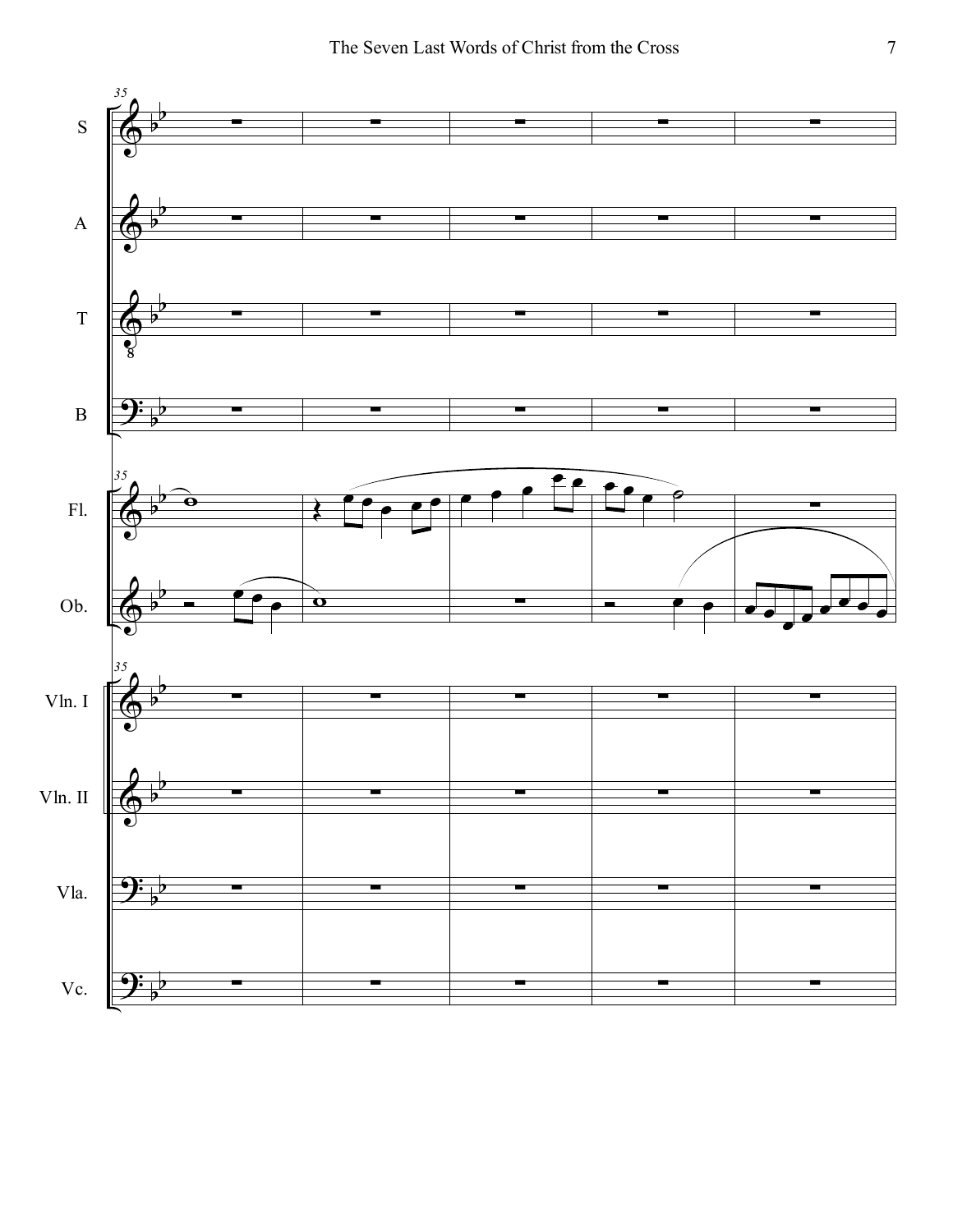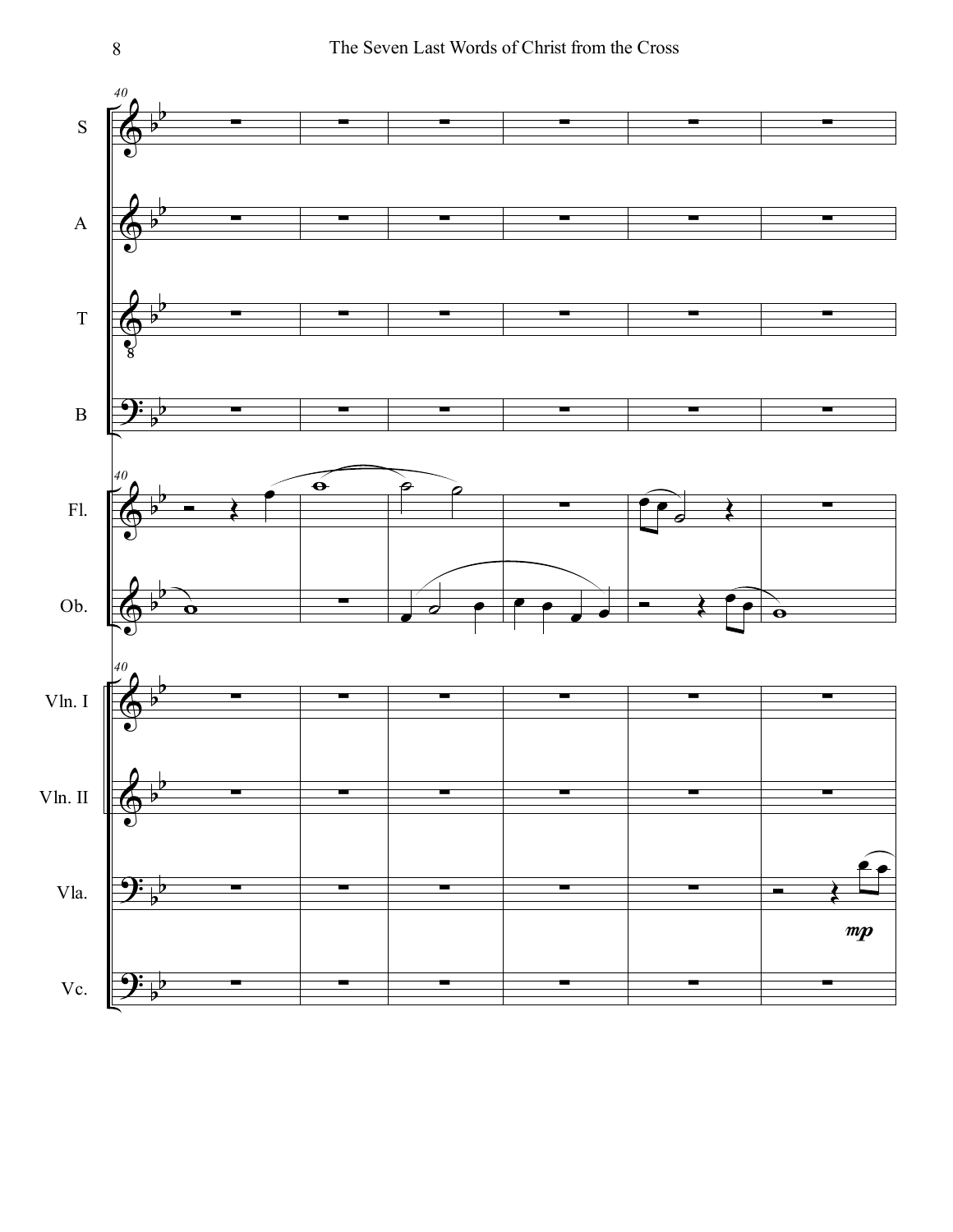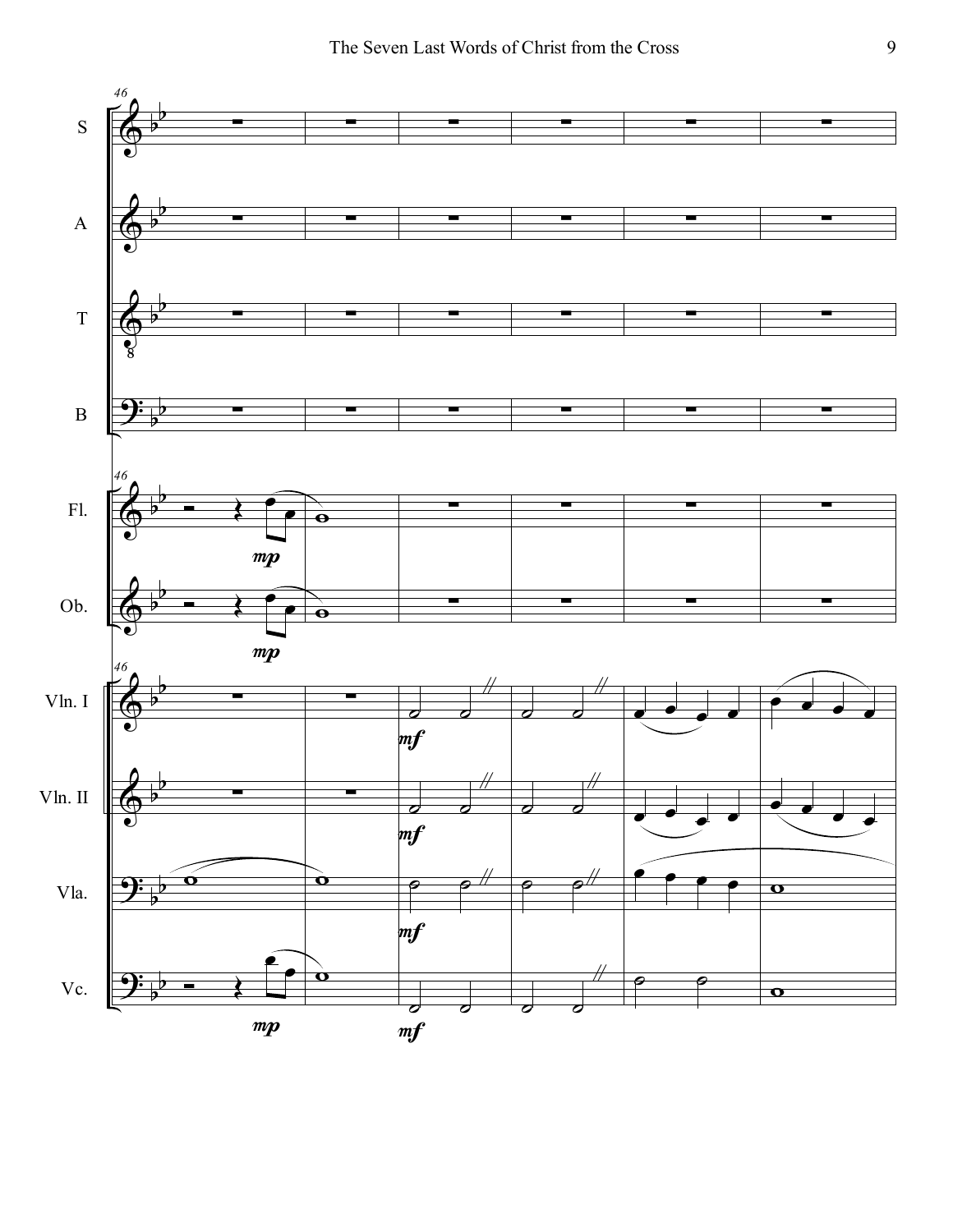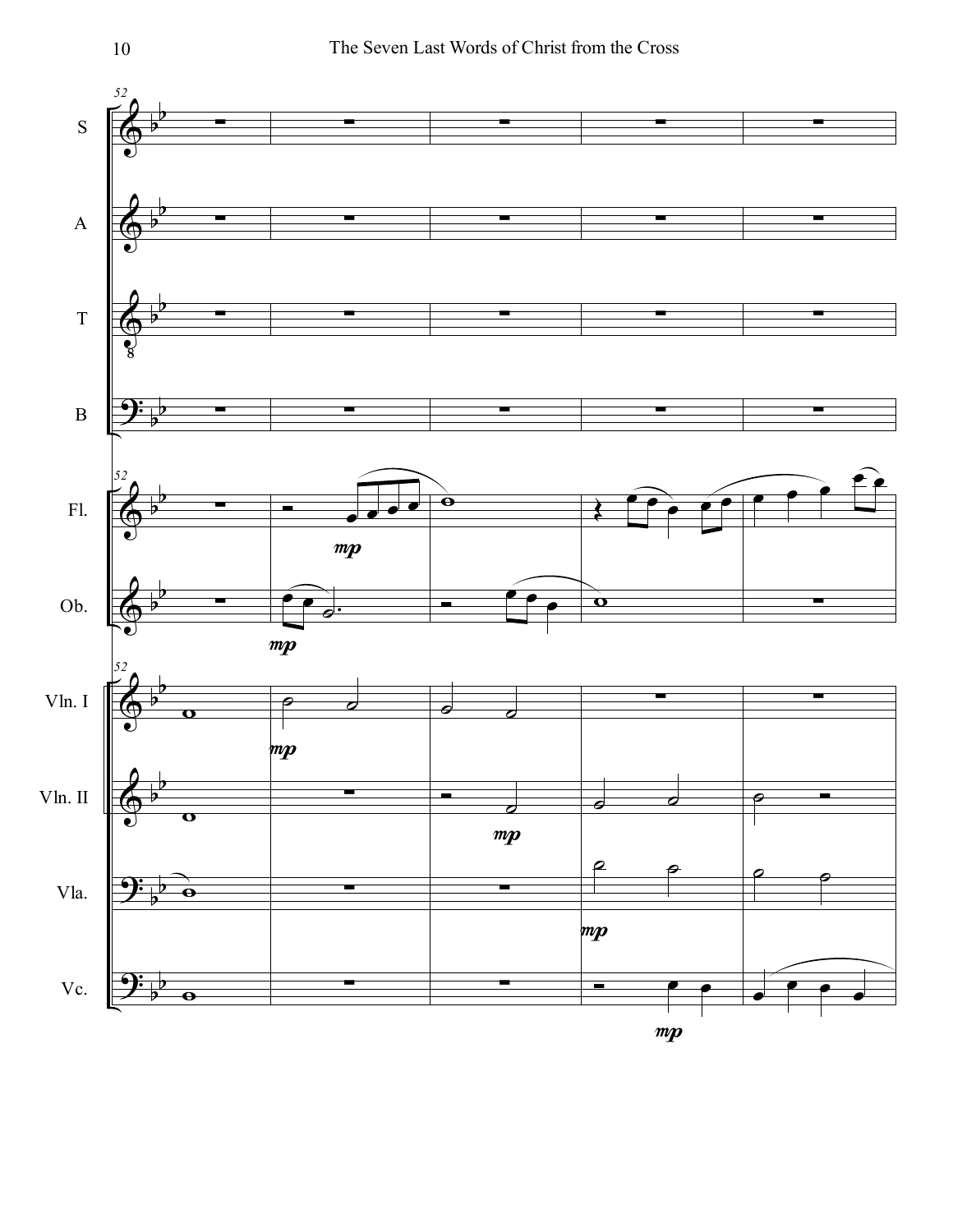

 $mp$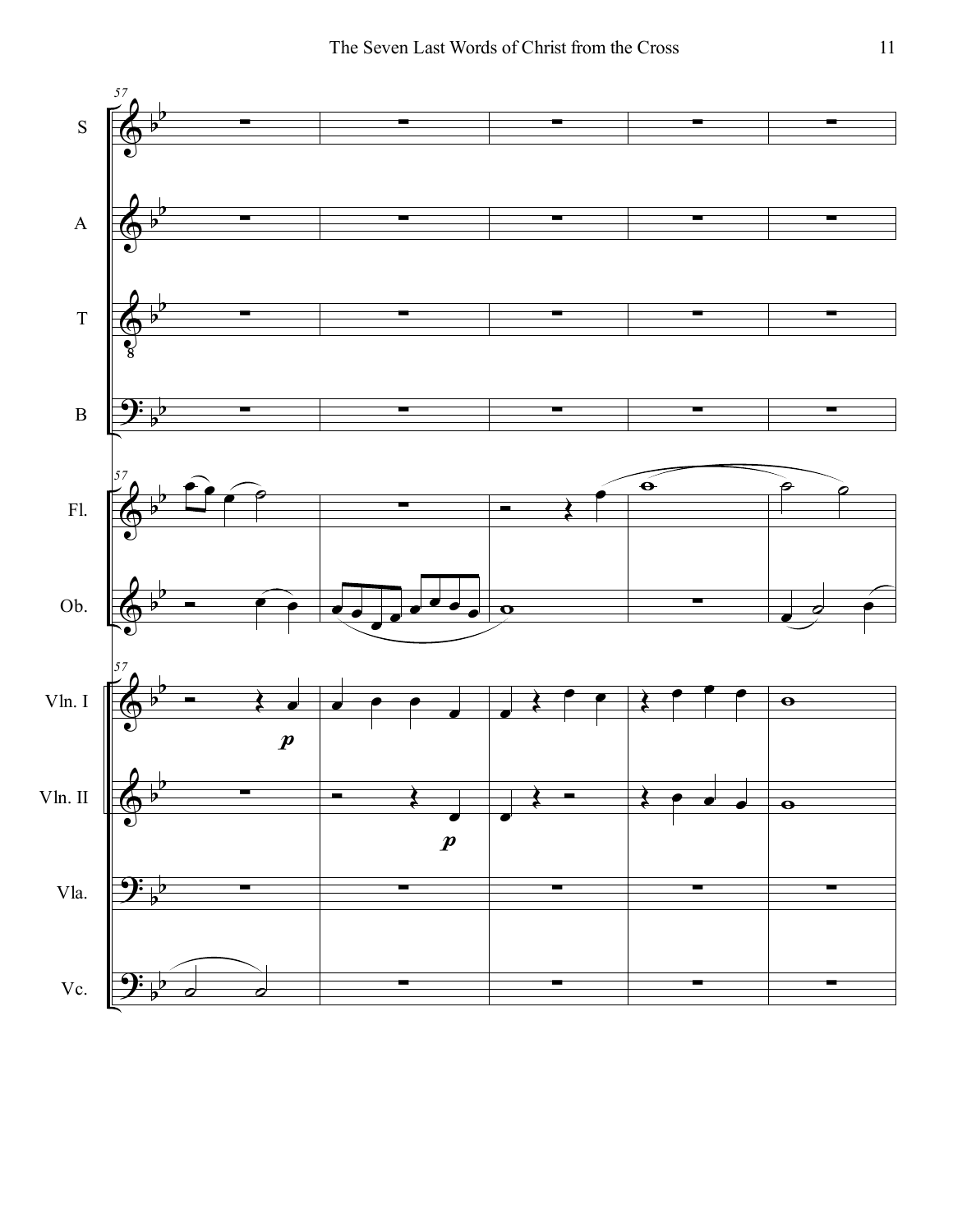